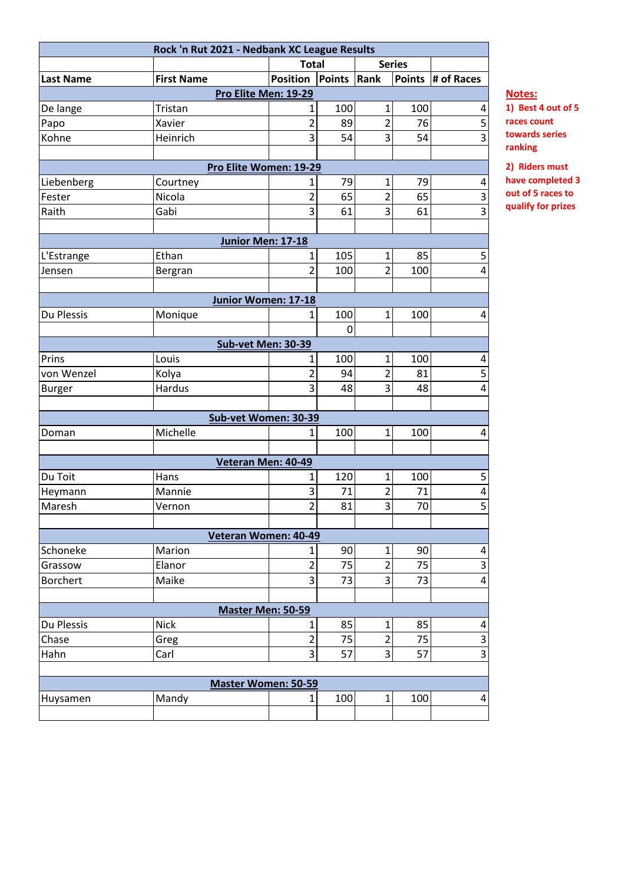| Rock 'n Rut 2021 - Nedbank XC League Results |                   |                        |                    |                |     |                   |  |
|----------------------------------------------|-------------------|------------------------|--------------------|----------------|-----|-------------------|--|
|                                              |                   | <b>Total</b>           |                    | <b>Series</b>  |     |                   |  |
| <b>Last Name</b>                             | <b>First Name</b> | <b>Position</b>        | <b>Points Rank</b> |                |     | Points # of Races |  |
| Pro Elite Men: 19-29                         |                   |                        |                    |                |     |                   |  |
| De lange                                     | Tristan           | 1                      | 100                | $\mathbf{1}$   | 100 | 4                 |  |
| Papo                                         | Xavier            | $\overline{c}$         | 89                 | $\overline{2}$ | 76  | 5                 |  |
| Kohne                                        | Heinrich          | $\overline{3}$         | 54                 | 3              | 54  | $\overline{3}$    |  |
|                                              |                   |                        |                    |                |     |                   |  |
|                                              |                   | Pro Elite Women: 19-29 |                    |                |     |                   |  |
| Liebenberg                                   | Courtney          | $\mathbf{1}$           | 79                 | $\mathbf{1}$   | 79  | 4                 |  |
| Fester                                       | Nicola            | $\overline{2}$         | 65                 | $\overline{2}$ | 65  | 3                 |  |
| Raith                                        | Gabi              | 3                      | 61                 | 3              | 61  | $\overline{3}$    |  |
|                                              |                   |                        |                    |                |     |                   |  |
|                                              |                   | Junior Men: 17-18      |                    |                |     |                   |  |
| L'Estrange                                   | Ethan             | $\mathbf{1}$           | 105                | 1              | 85  | 5                 |  |
| Jensen                                       | Bergran           | $\overline{2}$         | 100                | $\overline{2}$ | 100 | 4                 |  |
|                                              |                   |                        |                    |                |     |                   |  |
| Junior Women: 17-18                          |                   |                        |                    |                |     |                   |  |
| Du Plessis                                   | Monique           | $\mathbf{1}$           | 100                | $\mathbf{1}$   | 100 | 4                 |  |
|                                              |                   |                        | 0                  |                |     |                   |  |
|                                              |                   | Sub-vet Men: 30-39     |                    |                |     |                   |  |
| Prins                                        | Louis             | 1                      | 100                | $\mathbf 1$    | 100 | 4                 |  |
| von Wenzel                                   | Kolya             | $\overline{2}$         | 94                 | $\overline{2}$ | 81  | 5                 |  |
| <b>Burger</b>                                | Hardus            | 3                      | 48                 | 3              | 48  | 4                 |  |
|                                              |                   |                        |                    |                |     |                   |  |
|                                              |                   | Sub-vet Women: 30-39   |                    |                |     |                   |  |
| Doman                                        | Michelle          | 1                      | 100                | 1              | 100 | 4                 |  |
|                                              |                   |                        |                    |                |     |                   |  |
|                                              |                   | Veteran Men: 40-49     |                    |                |     |                   |  |
| Du Toit                                      | Hans              | 1                      | 120                | 1              | 100 | 5                 |  |
| Heymann                                      | Mannie            | 3                      | 71                 | $\mathbf 2$    | 71  | 4                 |  |
| Maresh                                       | Vernon            | $\overline{2}$         | 81                 | 3              | 70  | $\overline{5}$    |  |
|                                              |                   |                        |                    |                |     |                   |  |
| Veteran Women: 40-49                         |                   |                        |                    |                |     |                   |  |
| Schoneke                                     | Marion            | $\mathbf{1}$           | 90                 | $\mathbf{1}$   | 90  | 4                 |  |
| Grassow                                      | Elanor            | $\overline{c}$         | 75                 | $\overline{2}$ | 75  | 3                 |  |
| <b>Borchert</b>                              | Maike             | 3                      | 73                 | 3              | 73  | 4                 |  |
|                                              |                   |                        |                    |                |     |                   |  |
| Master Men: 50-59                            |                   |                        |                    |                |     |                   |  |
| Du Plessis                                   | <b>Nick</b>       | $\mathbf{1}$           | 85                 | $\mathbf{1}$   | 85  | 4                 |  |
| Chase                                        | Greg              | $\overline{2}$         | 75                 | $\overline{2}$ | 75  | 3                 |  |
| Hahn                                         | Carl              | 3                      | 57                 | 3              | 57  | 3                 |  |
|                                              |                   |                        |                    |                |     |                   |  |
| <b>Master Women: 50-59</b>                   |                   |                        |                    |                |     |                   |  |
| Huysamen                                     | Mandy             | $\mathbf{1}$           | 100                | $\mathbf{1}$   | 100 | 4                 |  |
|                                              |                   |                        |                    |                |     |                   |  |

## **Notes:**

**1) Best 4 out of 5 races count towards series ranking**

**2) Riders must have completed 3 out of 5 races to qualify for prizes**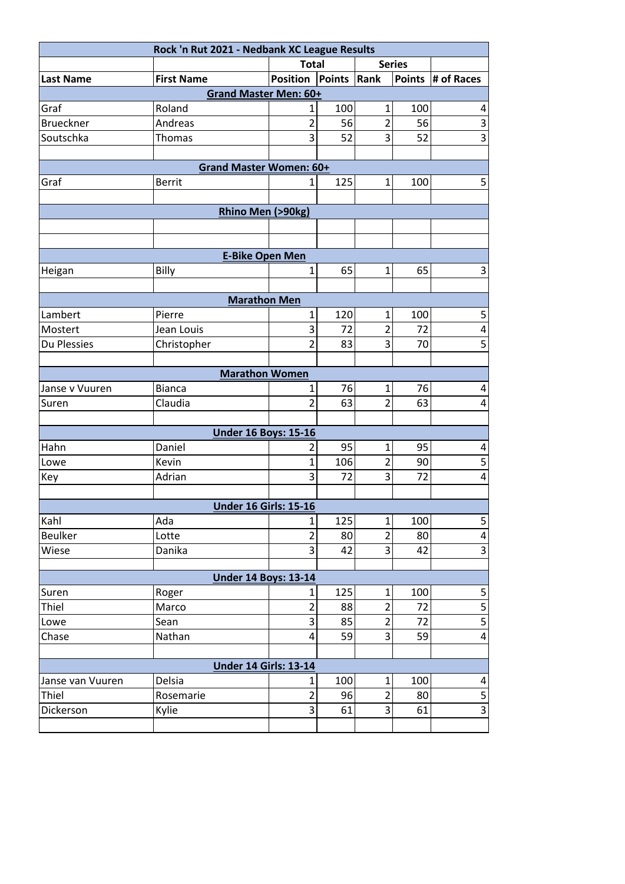| Rock 'n Rut 2021 - Nedbank XC League Results |                              |                 |             |                |     |                         |  |  |
|----------------------------------------------|------------------------------|-----------------|-------------|----------------|-----|-------------------------|--|--|
|                                              |                              | <b>Total</b>    |             | <b>Series</b>  |     |                         |  |  |
| <b>Last Name</b>                             | <b>First Name</b>            | <b>Position</b> | Points Rank |                |     | Points # of Races       |  |  |
| <b>Grand Master Men: 60+</b>                 |                              |                 |             |                |     |                         |  |  |
| Graf                                         | Roland                       | 1               | 100         | $\mathbf{1}$   | 100 | 4                       |  |  |
| <b>Brueckner</b>                             | Andreas                      | $\overline{2}$  | 56          | $\overline{2}$ | 56  | $\overline{3}$          |  |  |
| Soutschka                                    | Thomas                       | 3               | 52          | 3              | 52  | $\overline{3}$          |  |  |
|                                              |                              |                 |             |                |     |                         |  |  |
| <b>Grand Master Women: 60+</b>               |                              |                 |             |                |     |                         |  |  |
| Graf                                         | <b>Berrit</b>                | $\mathbf{1}$    | 125         | $\mathbf{1}$   | 100 | 5                       |  |  |
|                                              |                              |                 |             |                |     |                         |  |  |
| Rhino Men (>90kg)                            |                              |                 |             |                |     |                         |  |  |
|                                              |                              |                 |             |                |     |                         |  |  |
|                                              |                              |                 |             |                |     |                         |  |  |
|                                              | <b>E-Bike Open Men</b>       |                 |             |                |     |                         |  |  |
| Heigan                                       | Billy                        | 1               | 65          | $\mathbf 1$    | 65  | 3                       |  |  |
|                                              |                              |                 |             |                |     |                         |  |  |
| <b>Marathon Men</b>                          |                              |                 |             |                |     |                         |  |  |
| Lambert                                      | Pierre                       | $\mathbf{1}$    | 120         | $\mathbf{1}$   | 100 | 5                       |  |  |
| Mostert                                      | Jean Louis                   | 3               | 72          | $\overline{2}$ | 72  | 4                       |  |  |
| Du Plessies                                  | Christopher                  | $\overline{2}$  | 83          | 3              | 70  | 5                       |  |  |
|                                              |                              |                 |             |                |     |                         |  |  |
|                                              | <b>Marathon Women</b>        |                 |             |                |     |                         |  |  |
| Janse v Vuuren                               | <b>Bianca</b>                | $\mathbf{1}$    | 76          | $\mathbf{1}$   | 76  | 4                       |  |  |
| Suren                                        | Claudia                      | $\overline{2}$  | 63          | $\overline{2}$ | 63  | 4                       |  |  |
|                                              |                              |                 |             |                |     |                         |  |  |
|                                              | <b>Under 16 Boys: 15-16</b>  |                 |             |                |     |                         |  |  |
| Hahn                                         | Daniel                       | 2               | 95          | $\mathbf{1}$   | 95  | 4                       |  |  |
| Lowe                                         | Kevin                        | $\overline{1}$  | 106         | $\overline{2}$ | 90  | 5                       |  |  |
| Key                                          | Adrian                       | 3               | 72          | 3              | 72  | 4                       |  |  |
|                                              |                              |                 |             |                |     |                         |  |  |
|                                              | <b>Under 16 Girls: 15-16</b> |                 |             |                |     |                         |  |  |
| Kahl                                         | Ada                          | $\mathbf{1}$    | 125         | $\mathbf{1}$   | 100 | 5                       |  |  |
| <b>Beulker</b>                               | Lotte                        | $\overline{2}$  | 80          | $\overline{2}$ | 80  | $\overline{\mathbf{4}}$ |  |  |
| Wiese                                        | Danika                       | 3               | 42          | 3              | 42  | $\overline{3}$          |  |  |
|                                              |                              |                 |             |                |     |                         |  |  |
|                                              | <b>Under 14 Boys: 13-14</b>  |                 |             |                |     |                         |  |  |
| Suren                                        | Roger                        | 1               | 125         | $\mathbf{1}$   | 100 | 5                       |  |  |
| Thiel                                        | Marco                        | $\overline{2}$  | 88          | $\overline{2}$ | 72  | 5                       |  |  |
| Lowe                                         | Sean                         | 3               | 85          | $\overline{2}$ | 72  | $\overline{\mathbf{5}}$ |  |  |
| Chase                                        | Nathan                       | 4               | 59          | 3              | 59  | $\overline{\mathbf{4}}$ |  |  |
|                                              |                              |                 |             |                |     |                         |  |  |
| <b>Under 14 Girls: 13-14</b>                 |                              |                 |             |                |     |                         |  |  |
| Janse van Vuuren                             | Delsia                       | $\mathbf{1}$    | 100         | $\mathbf{1}$   | 100 | 4                       |  |  |
| Thiel                                        | Rosemarie                    | $\overline{2}$  | 96          | $\overline{2}$ | 80  | 5                       |  |  |
| Dickerson                                    | Kylie                        | 3               | 61          | 3              | 61  | $\overline{3}$          |  |  |
|                                              |                              |                 |             |                |     |                         |  |  |